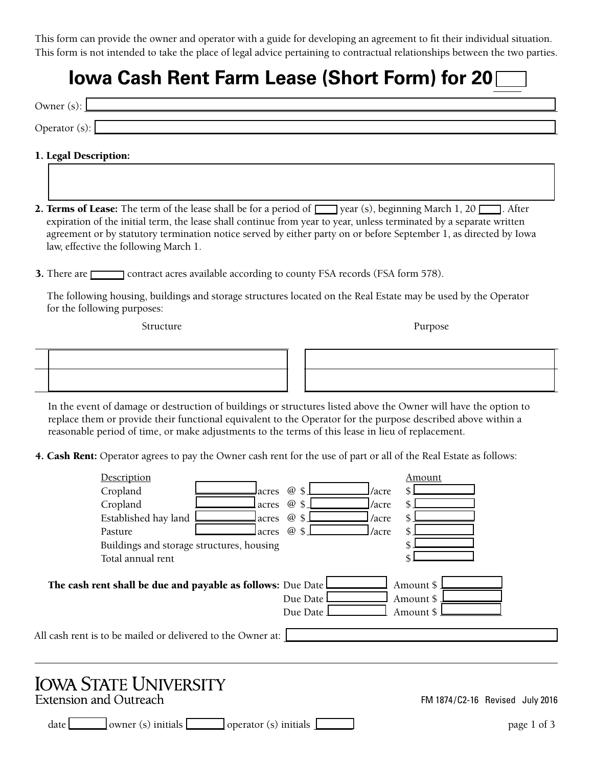This form can provide the owner and operator with a guide for developing an agreement to fit their individual situation. This form is not intended to take the place of legal advice pertaining to contractual relationships between the two parties.

## **Iowa Cash Rent Farm Lease (Short Form) for 20**

| Owner $(s)$ :         |  |
|-----------------------|--|
| Operator (s):         |  |
| 1. Legal Description: |  |

- **2. Terms of Lease:** The term of the lease shall be for a period of  $\Box$  year (s), beginning March 1, 20  $\Box$ . After expiration of the initial term, the lease shall continue from year to year, unless terminated by a separate written agreement or by statutory termination notice served by either party on or before September 1, as directed by Iowa law, effective the following March 1.
- 3. There are contract acres available according to county FSA records (FSA form 578).

The following housing, buildings and storage structures located on the Real Estate may be used by the Operator for the following purposes:

Structure Purpose



In the event of damage or destruction of buildings or structures listed above the Owner will have the option to replace them or provide their functional equivalent to the Operator for the purpose described above within a reasonable period of time, or make adjustments to the terms of this lease in lieu of replacement.

4. Cash Rent: Operator agrees to pay the Owner cash rent for the use of part or all of the Real Estate as follows:

| Description                                                                                                                                        | Amount                              |
|----------------------------------------------------------------------------------------------------------------------------------------------------|-------------------------------------|
| Cropland<br>@ \$<br>acres                                                                                                                          | /acre                               |
| Cropland<br>@ \$<br>acres                                                                                                                          | /acre                               |
| Established hay land<br>@ \$<br>acres                                                                                                              | /acre                               |
| @ \$<br>Pasture<br>lacres                                                                                                                          | /acre                               |
| Buildings and storage structures, housing                                                                                                          |                                     |
| Total annual rent                                                                                                                                  |                                     |
| The cash rent shall be due and payable as follows: Due Date<br>Due Date<br>Due Date<br>All cash rent is to be mailed or delivered to the Owner at: | Amount \$<br>Amount \$<br>Amount \$ |
| <b>IOWA STATE UNIVERSITY</b><br><b>Extension and Outreach</b>                                                                                      | FM 1874/C2-16 Revised July 2016     |
| owner (s) initials $\blacksquare$<br>operator (s) initials<br>date L                                                                               | page 1 of 3                         |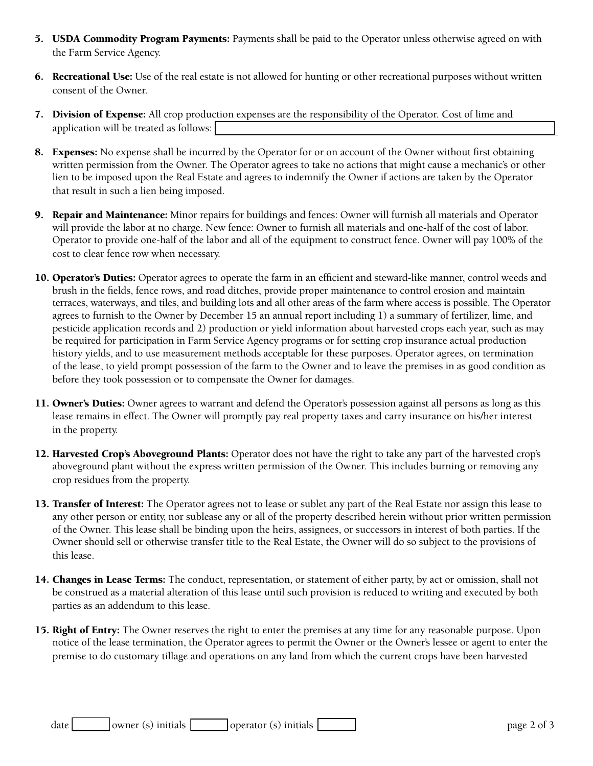- 5. USDA Commodity Program Payments: Payments shall be paid to the Operator unless otherwise agreed on with the Farm Service Agency.
- 6. Recreational Use: Use of the real estate is not allowed for hunting or other recreational purposes without written consent of the Owner.
- **7. Division of Expense:** All crop production expenses are the responsibility of the Operator. Cost of lime and application will be treated as follows:
- 8. Expenses: No expense shall be incurred by the Operator for or on account of the Owner without first obtaining written permission from the Owner. The Operator agrees to take no actions that might cause a mechanic's or other lien to be imposed upon the Real Estate and agrees to indemnify the Owner if actions are taken by the Operator that result in such a lien being imposed.
- 9. Repair and Maintenance: Minor repairs for buildings and fences: Owner will furnish all materials and Operator will provide the labor at no charge. New fence: Owner to furnish all materials and one-half of the cost of labor. Operator to provide one-half of the labor and all of the equipment to construct fence. Owner will pay 100% of the cost to clear fence row when necessary.
- 10. Operator's Duties: Operator agrees to operate the farm in an efficient and steward-like manner, control weeds and brush in the fields, fence rows, and road ditches, provide proper maintenance to control erosion and maintain terraces, waterways, and tiles, and building lots and all other areas of the farm where access is possible. The Operator agrees to furnish to the Owner by December 15 an annual report including 1) a summary of fertilizer, lime, and pesticide application records and 2) production or yield information about harvested crops each year, such as may be required for participation in Farm Service Agency programs or for setting crop insurance actual production history yields, and to use measurement methods acceptable for these purposes. Operator agrees, on termination of the lease, to yield prompt possession of the farm to the Owner and to leave the premises in as good condition as before they took possession or to compensate the Owner for damages.
- 11. Owner's Duties: Owner agrees to warrant and defend the Operator's possession against all persons as long as this lease remains in effect. The Owner will promptly pay real property taxes and carry insurance on his/her interest in the property.
- 12. Harvested Crop's Aboveground Plants: Operator does not have the right to take any part of the harvested crop's aboveground plant without the express written permission of the Owner. This includes burning or removing any crop residues from the property.
- 13. Transfer of Interest: The Operator agrees not to lease or sublet any part of the Real Estate nor assign this lease to any other person or entity, nor sublease any or all of the property described herein without prior written permission of the Owner. This lease shall be binding upon the heirs, assignees, or successors in interest of both parties. If the Owner should sell or otherwise transfer title to the Real Estate, the Owner will do so subject to the provisions of this lease.
- 14. Changes in Lease Terms: The conduct, representation, or statement of either party, by act or omission, shall not be construed as a material alteration of this lease until such provision is reduced to writing and executed by both parties as an addendum to this lease.
- 15. Right of Entry: The Owner reserves the right to enter the premises at any time for any reasonable purpose. Upon notice of the lease termination, the Operator agrees to permit the Owner or the Owner's lessee or agent to enter the premise to do customary tillage and operations on any land from which the current crops have been harvested